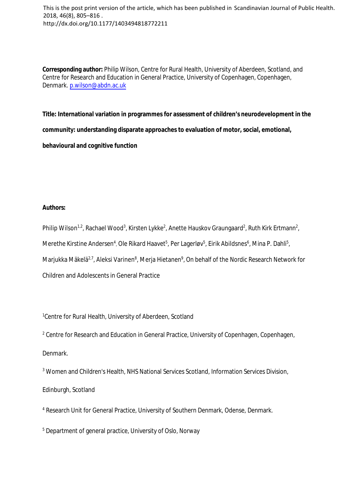This is the post print version of the article, which has been published in Scandinavian Journal of Public Health. 2018, 46(8), 805–816 . http://dx.doi.org/10.1177/1403494818772211

**Corresponding author:** Philip Wilson, Centre for Rural Health, University of Aberdeen, Scotland, and Centre for Research and Education in General Practice, University of Copenhagen, Copenhagen, Denmark. [p.wilson@abdn.ac.uk](mailto:p.wilson@abdn.ac.uk)

**Title: International variation in programmes for assessment of children's neurodevelopment in the community: understanding disparate approaches to evaluation of motor, social, emotional, behavioural and cognitive function**

**Authors:**

Philip Wilson<sup>1,2</sup>, Rachael Wood<sup>3</sup>, Kirsten Lykke<sup>2</sup>, Anette Hauskov Graungaard<sup>2</sup>, Ruth Kirk Ertmann<sup>2</sup>, Merethe Kirstine Andersen<sup>4</sup>, Ole Rikard Haavet<sup>5</sup>, Per Lagerløv<sup>5</sup>, Eirik Abildsnes<sup>6</sup>, Mina P. Dahli<sup>5</sup>, Marjukka Mäkelä<sup>2,7</sup>, Aleksi Varinen<sup>8</sup>, Merja Hietanen<sup>9</sup>, On behalf of the Nordic Research Network for Children and Adolescents in General Practice

<sup>1</sup>Centre for Rural Health, University of Aberdeen, Scotland

<sup>2</sup> Centre for Research and Education in General Practice, University of Copenhagen, Copenhagen, Denmark.

<sup>3</sup> Women and Children's Health, NHS National Services Scotland, Information Services Division,

Edinburgh, Scotland

<sup>4</sup> Research Unit for General Practice, University of Southern Denmark, Odense, Denmark.

<sup>5</sup> Department of general practice, University of Oslo, Norway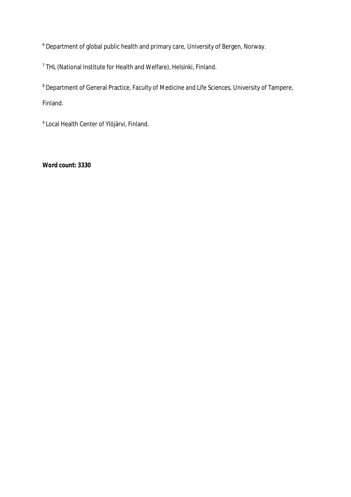<sup>6</sup> Department of global public health and primary care, University of Bergen, Norway.

<sup>7</sup> THL (National Institute for Health and Welfare), Helsinki, Finland.

<sup>8</sup> Department of General Practice, Faculty of Medicine and Life Sciences, University of Tampere, Finland.

<sup>9</sup> Local Health Center of Ylöjärvi, Finland.

**Word count: 3330**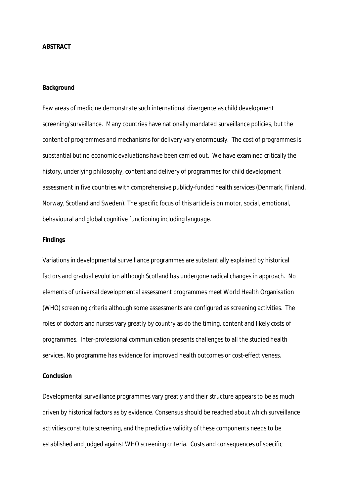#### **ABSTRACT**

#### **Background**

Few areas of medicine demonstrate such international divergence as child development screening/surveillance. Many countries have nationally mandated surveillance policies, but the content of programmes and mechanisms for delivery vary enormously. The cost of programmes is substantial but no economic evaluations have been carried out. We have examined critically the history, underlying philosophy, content and delivery of programmes for child development assessment in five countries with comprehensive publicly-funded health services (Denmark, Finland, Norway, Scotland and Sweden). The specific focus of this article is on motor, social, emotional, behavioural and global cognitive functioning including language.

#### **Findings**

Variations in developmental surveillance programmes are substantially explained by historical factors and gradual evolution although Scotland has undergone radical changes in approach. No elements of universal developmental assessment programmes meet World Health Organisation (WHO) screening criteria although some assessments are configured as screening activities. The roles of doctors and nurses vary greatly by country as do the timing, content and likely costs of programmes. Inter-professional communication presents challenges to all the studied health services. No programme has evidence for improved health outcomes or cost-effectiveness.

#### **Conclusion**

Developmental surveillance programmes vary greatly and their structure appears to be as much driven by historical factors as by evidence. Consensus should be reached about which surveillance activities constitute screening, and the predictive validity of these components needs to be established and judged against WHO screening criteria. Costs and consequences of specific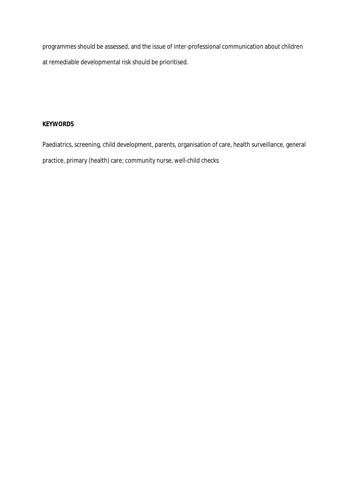programmes should be assessed, and the issue of inter-professional communication about children at remediable developmental risk should be prioritised.

## **KEYWORDS**

Paediatrics, screening, child development, parents, organisation of care, health surveillance, general practice, primary (health) care; community nurse, well-child checks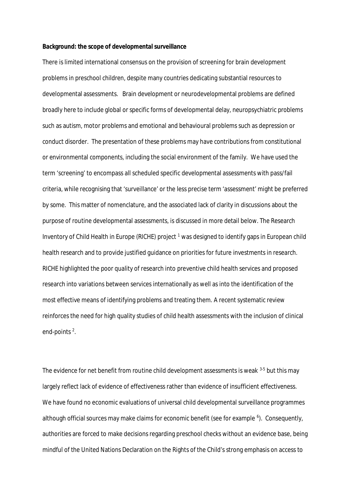#### **Background: the scope of developmental surveillance**

There is limited international consensus on the provision of screening for brain development problems in preschool children, despite many countries dedicating substantial resources to developmental assessments. Brain development or neurodevelopmental problems are defined broadly here to include global or specific forms of developmental delay, neuropsychiatric problems such as autism, motor problems and emotional and behavioural problems such as depression or conduct disorder. The presentation of these problems may have contributions from constitutional or environmental components, including the social environment of the family. We have used the term 'screening' to encompass all scheduled specific developmental assessments with pass/fail criteria, while recognising that 'surveillance' or the less precise term 'assessment' might be preferred by some. This matter of nomenclature, and the associated lack of clarity in discussions about the purpose of routine developmental assessments, is discussed in more detail below. The Research Inventory of Child Health in Europe (RICHE) project <sup>1</sup> was designed to identify gaps in European child health research and to provide justified guidance on priorities for future investments in research. RICHE highlighted the poor quality of research into preventive child health services and proposed research into variations between services internationally as well as into the identification of the most effective means of identifying problems and treating them. A recent systematic review reinforces the need for high quality studies of child health assessments with the inclusion of clinical end-points<sup>2</sup>.

The evidence for net benefit from routine child development assessments is weak  $3-5$  but this may largely reflect lack of evidence of effectiveness rather than evidence of insufficient effectiveness. We have found no economic evaluations of universal child developmental surveillance programmes although official sources may make claims for economic benefit (see for example <sup>6</sup>). Consequently, authorities are forced to make decisions regarding preschool checks without an evidence base, being mindful of the United Nations Declaration on the Rights of the Child's strong emphasis on access to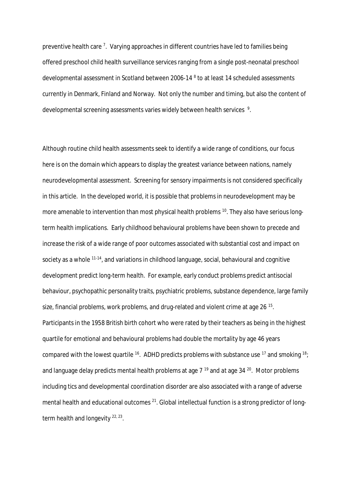preventive health care <sup>7</sup>. Varying approaches in different countries have led to families being offered preschool child health surveillance services ranging from a single post-neonatal preschool developmental assessment in Scotland between 2006-14<sup>8</sup> to at least 14 scheduled assessments currently in Denmark, Finland and Norway. Not only the number and timing, but also the content of developmental screening assessments varies widely between health services <sup>9</sup>.

Although routine child health assessments seek to identify a wide range of conditions, our focus here is on the domain which appears to display the greatest variance between nations, namely neurodevelopmental assessment. Screening for sensory impairments is not considered specifically in this article. In the developed world, it is possible that problems in neurodevelopment may be more amenable to intervention than most physical health problems <sup>10</sup>. They also have serious longterm health implications. Early childhood behavioural problems have been shown to precede and increase the risk of a wide range of poor outcomes associated with substantial cost and impact on society as a whole <sup>11-14</sup>, and variations in childhood language, social, behavioural and cognitive development predict long-term health. For example, early conduct problems predict antisocial behaviour, psychopathic personality traits, psychiatric problems, substance dependence, large family size, financial problems, work problems, and drug-related and violent crime at age 26  $^{15}$ . Participants in the 1958 British birth cohort who were rated by their teachers as being in the highest quartile for emotional and behavioural problems had double the mortality by age 46 years compared with the lowest quartile <sup>16</sup>. ADHD predicts problems with substance use <sup>17</sup> and smoking <sup>18</sup>; and language delay predicts mental health problems at age  $7^{19}$  and at age 34  $^{20}$ . Motor problems including tics and developmental coordination disorder are also associated with a range of adverse mental health and educational outcomes <sup>21</sup>. Global intellectual function is a strong predictor of longterm health and longevity <sup>22, 23</sup>.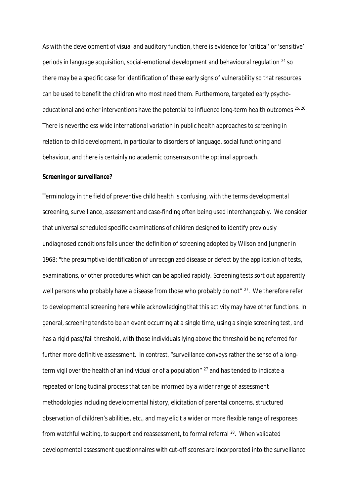As with the development of visual and auditory function, there is evidence for 'critical' or 'sensitive' periods in language acquisition, social-emotional development and behavioural regulation <sup>24</sup> so there may be a specific case for identification of these early signs of vulnerability so that resources can be used to benefit the children who most need them. Furthermore, targeted early psychoeducational and other interventions have the potential to influence long-term health outcomes <sup>25, 26</sup>. There is nevertheless wide international variation in public health approaches to screening in relation to child development, in particular to disorders of language, social functioning and behaviour, and there is certainly no academic consensus on the optimal approach.

#### **Screening or surveillance?**

Terminology in the field of preventive child health is confusing, with the terms developmental screening, surveillance, assessment and case-finding often being used interchangeably. We consider that universal scheduled specific examinations of children designed to identify previously undiagnosed conditions falls under the definition of screening adopted by Wilson and Jungner in 1968: "the presumptive identification of unrecognized disease or defect by the application of tests, examinations, or other procedures which can be applied rapidly. Screening tests sort out apparently well persons who probably have a disease from those who probably do not" <sup>27</sup>. We therefore refer to developmental screening here while acknowledging that this activity may have other functions. In general, screening tends to be an event occurring at a single time, using a single screening test, and has a rigid pass/fail threshold, with those individuals lying above the threshold being referred for further more definitive assessment. In contrast, "surveillance conveys rather the sense of a longterm vigil over the health of an individual or of a population"  $27$  and has tended to indicate a repeated or longitudinal process that can be informed by a wider range of assessment methodologies including developmental history, elicitation of parental concerns, structured observation of children's abilities, etc., and may elicit a wider or more flexible range of responses from watchful waiting, to support and reassessment, to formal referral <sup>28</sup>. When validated developmental assessment questionnaires with cut-off scores are incorporated into the surveillance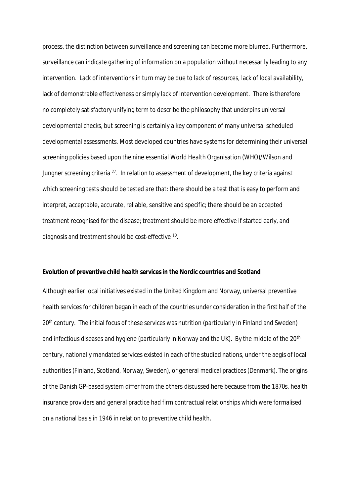process, the distinction between surveillance and screening can become more blurred. Furthermore, surveillance can indicate gathering of information on a population without necessarily leading to any intervention. Lack of interventions in turn may be due to lack of resources, lack of local availability, lack of demonstrable effectiveness or simply lack of intervention development. There is therefore no completely satisfactory unifying term to describe the philosophy that underpins universal developmental checks, but screening is certainly a key component of many universal scheduled developmental assessments. Most developed countries have systems for determining their universal screening policies based upon the nine essential World Health Organisation (WHO)/Wilson and Jungner screening criteria <sup>27</sup>. In relation to assessment of development, the key criteria against which screening tests should be tested are that: there should be a test that is easy to perform and interpret, acceptable, accurate, reliable, sensitive and specific; there should be an accepted treatment recognised for the disease; treatment should be more effective if started early, and diagnosis and treatment should be cost-effective <sup>10</sup>.

**Evolution of preventive child health services in the Nordic countries and Scotland** Although earlier local initiatives existed in the United Kingdom and Norway, universal preventive health services for children began in each of the countries under consideration in the first half of the 20<sup>th</sup> century. The initial focus of these services was nutrition (particularly in Finland and Sweden) and infectious diseases and hygiene (particularly in Norway and the UK). By the middle of the 20<sup>th</sup> century, nationally mandated services existed in each of the studied nations, under the aegis of local authorities (Finland, Scotland, Norway, Sweden), or general medical practices (Denmark). The origins of the Danish GP-based system differ from the others discussed here because from the 1870s, health insurance providers and general practice had firm contractual relationships which were formalised on a national basis in 1946 in relation to preventive child health.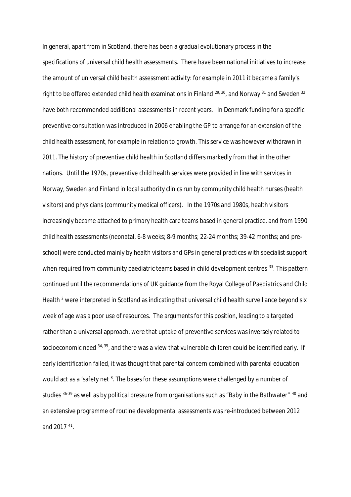In general, apart from in Scotland, there has been a gradual evolutionary process in the specifications of universal child health assessments. There have been national initiatives to increase the amount of universal child health assessment activity: for example in 2011 it became a family's right to be offered extended child health examinations in Finland  $^{29, 30}$ , and Norway  $^{31}$  and Sweden  $^{32}$ have both recommended additional assessments in recent years. In Denmark funding for a specific preventive consultation was introduced in 2006 enabling the GP to arrange for an extension of the child health assessment, for example in relation to growth. This service was however withdrawn in 2011. The history of preventive child health in Scotland differs markedly from that in the other nations. Until the 1970s, preventive child health services were provided in line with services in Norway, Sweden and Finland in local authority clinics run by community child health nurses (health visitors) and physicians (community medical officers). In the 1970s and 1980s, health visitors increasingly became attached to primary health care teams based in general practice, and from 1990 child health assessments (neonatal, 6-8 weeks; 8-9 months; 22-24 months; 39-42 months; and preschool) were conducted mainly by health visitors and GPs in general practices with specialist support when required from community paediatric teams based in child development centres <sup>33</sup>. This pattern continued until the recommendations of UK guidance from the Royal College of Paediatrics and Child Health <sup>3</sup> were interpreted in Scotland as indicating that universal child health surveillance beyond six week of age was a poor use of resources. The arguments for this position, leading to a targeted rather than a universal approach, were that uptake of preventive services was inversely related to socioeconomic need  $34, 35$ , and there was a view that vulnerable children could be identified early. If early identification failed, it was thought that parental concern combined with parental education would act as a 'safety net <sup>8</sup>. The bases for these assumptions were challenged by a number of studies 36-39 as well as by political pressure from organisations such as "Baby in the Bathwater" <sup>40</sup> and an extensive programme of routine developmental assessments was re-introduced between 2012 and 2017 <sup>41</sup> .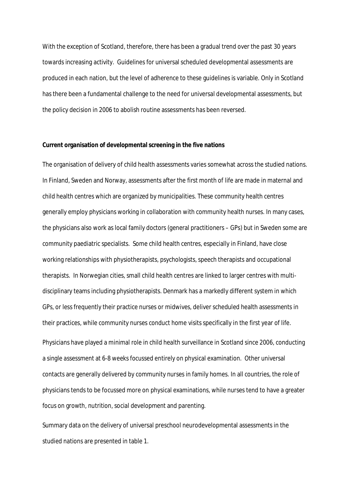With the exception of Scotland, therefore, there has been a gradual trend over the past 30 years towards increasing activity. Guidelines for universal scheduled developmental assessments are produced in each nation, but the level of adherence to these guidelines is variable. Only in Scotland has there been a fundamental challenge to the need for universal developmental assessments, but the policy decision in 2006 to abolish routine assessments has been reversed.

#### **Current organisation of developmental screening in the five nations**

The organisation of delivery of child health assessments varies somewhat across the studied nations. In Finland, Sweden and Norway, assessments after the first month of life are made in maternal and child health centres which are organized by municipalities. These community health centres generally employ physicians working in collaboration with community health nurses. In many cases, the physicians also work as local family doctors (general practitioners – GPs) but in Sweden some are community paediatric specialists. Some child health centres, especially in Finland, have close working relationships with physiotherapists, psychologists, speech therapists and occupational therapists. In Norwegian cities, small child health centres are linked to larger centres with multidisciplinary teams including physiotherapists. Denmark has a markedly different system in which GPs, or less frequently their practice nurses or midwives, deliver scheduled health assessments in their practices, while community nurses conduct home visits specifically in the first year of life.

Physicians have played a minimal role in child health surveillance in Scotland since 2006, conducting a single assessment at 6-8 weeks focussed entirely on physical examination. Other universal contacts are generally delivered by community nurses in family homes. In all countries, the role of physicians tends to be focussed more on physical examinations, while nurses tend to have a greater focus on growth, nutrition, social development and parenting.

Summary data on the delivery of universal preschool neurodevelopmental assessments in the studied nations are presented in table 1.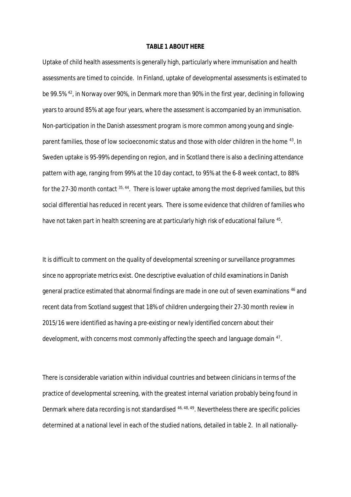#### **TABLE 1 ABOUT HERE**

Uptake of child health assessments is generally high, particularly where immunisation and health assessments are timed to coincide. In Finland, uptake of developmental assessments is estimated to be 99.5% <sup>42</sup>, in Norway over 90%, in Denmark more than 90% in the first year, declining in following years to around 85% at age four years, where the assessment is accompanied by an immunisation. Non-participation in the Danish assessment program is more common among young and singleparent families, those of low socioeconomic status and those with older children in the home <sup>43</sup>. In Sweden uptake is 95-99% depending on region, and in Scotland there is also a declining attendance pattern with age, ranging from 99% at the 10 day contact, to 95% at the 6-8 week contact, to 88% for the 27-30 month contact <sup>35, 44</sup>. There is lower uptake among the most deprived families, but this social differential has reduced in recent years. There is some evidence that children of families who have not taken part in health screening are at particularly high risk of educational failure <sup>45</sup>.

It is difficult to comment on the quality of developmental screening or surveillance programmes since no appropriate metrics exist. One descriptive evaluation of child examinations in Danish general practice estimated that abnormal findings are made in one out of seven examinations <sup>46</sup> and recent data from Scotland suggest that 18% of children undergoing their 27-30 month review in 2015/16 were identified as having a pre-existing or newly identified concern about their development, with concerns most commonly affecting the speech and language domain <sup>47</sup>.

There is considerable variation within individual countries and between clinicians in terms of the practice of developmental screening, with the greatest internal variation probably being found in Denmark where data recording is not standardised <sup>46, 48, 49</sup>. Nevertheless there are specific policies determined at a national level in each of the studied nations, detailed in table 2. In all nationally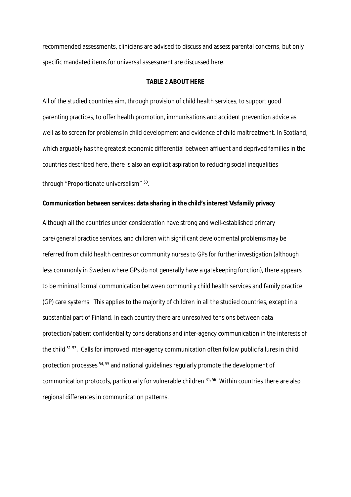recommended assessments, clinicians are advised to discuss and assess parental concerns, but only specific mandated items for universal assessment are discussed here.

#### **TABLE 2 ABOUT HERE**

All of the studied countries aim, through provision of child health services, to support good parenting practices, to offer health promotion, immunisations and accident prevention advice as well as to screen for problems in child development and evidence of child maltreatment. In Scotland, which arguably has the greatest economic differential between affluent and deprived families in the countries described here, there is also an explicit aspiration to reducing social inequalities

through "Proportionate universalism" <sup>50</sup>.

**Communication between services: data sharing in the child's interest** *Vs* **family privacy** Although all the countries under consideration have strong and well-established primary care/general practice services, and children with significant developmental problems may be referred from child health centres or community nurses to GPs for further investigation (although less commonly in Sweden where GPs do not generally have a gatekeeping function), there appears to be minimal formal communication between community child health services and family practice (GP) care systems. This applies to the majority of children in all the studied countries, except in a substantial part of Finland. In each country there are unresolved tensions between data protection/patient confidentiality considerations and inter-agency communication in the interests of the child 51-53. Calls for improved inter-agency communication often follow public failures in child protection processes 54, 55 and national guidelines regularly promote the development of communication protocols, particularly for vulnerable children 31, 56. Within countries there are also regional differences in communication patterns.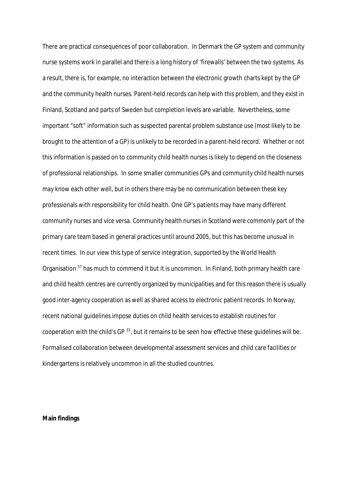There are practical consequences of poor collaboration. In Denmark the GP system and community nurse systems work in parallel and there is a long history of 'firewalls' between the two systems. As a result, there is, for example, no interaction between the electronic growth charts kept by the GP and the community health nurses. Parent-held records can help with this problem, and they exist in Finland, Scotland and parts of Sweden but completion levels are variable. Nevertheless, some important "soft" information such as suspected parental problem substance use (most likely to be brought to the attention of a GP) is unlikely to be recorded in a parent-held record. Whether or not this information is passed on to community child health nurses is likely to depend on the closeness of professional relationships. In some smaller communities GPs and community child health nurses may know each other well, but in others there may be no communication between these key professionals with responsibility for child health. One GP's patients may have many different community nurses and vice versa. Community health nurses in Scotland were commonly part of the primary care team based in general practices until around 2005, but this has become unusual in recent times. In our view this type of service integration, supported by the World Health Organisation <sup>57</sup> has much to commend it but it is uncommon. In Finland, both primary health care and child health centres are currently organized by municipalities and for this reason there is usually good inter-agency cooperation as well as shared access to electronic patient records. In Norway, recent national guidelines impose duties on child health services to establish routines for cooperation with the child's GP <sup>31</sup>, but it remains to be seen how effective these guidelines will be. Formalised collaboration between developmental assessment services and child care facilities or kindergartens is relatively uncommon in all the studied countries.

**Main findings**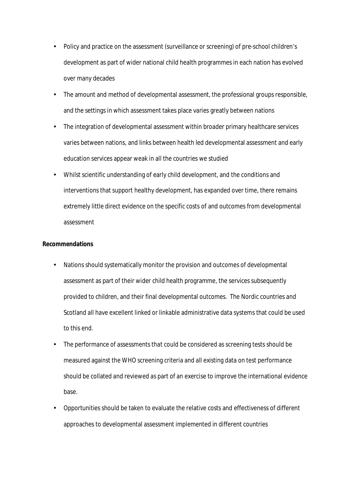- Policy and practice on the assessment (surveillance or screening) of pre-school children's development as part of wider national child health programmes in each nation has evolved over many decades
- t. The amount and method of developmental assessment, the professional groups responsible, and the settings in which assessment takes place varies greatly between nations
- The integration of developmental assessment within broader primary healthcare services t. varies between nations, and links between health led developmental assessment and early education services appear weak in all the countries we studied
- Whilst scientific understanding of early child development, and the conditions and t, interventions that support healthy development, has expanded over time, there remains extremely little direct evidence on the specific costs of and outcomes from developmental assessment

#### **Recommendations**

- Nations should systematically monitor the provision and outcomes of developmental assessment as part of their wider child health programme, the services subsequently provided to children, and their final developmental outcomes. The Nordic countries and Scotland all have excellent linked or linkable administrative data systems that could be used to this end.
- The performance of assessments that could be considered as screening tests should be measured against the WHO screening criteria and all existing data on test performance should be collated and reviewed as part of an exercise to improve the international evidence base.
- Opportunities should be taken to evaluate the relative costs and effectiveness of different t. approaches to developmental assessment implemented in different countries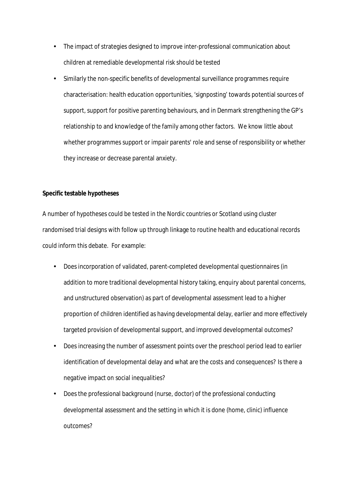- The impact of strategies designed to improve inter-professional communication about J. children at remediable developmental risk should be tested
- Similarly the non-specific benefits of developmental surveillance programmes require characterisation: health education opportunities, 'signposting' towards potential sources of support, support for positive parenting behaviours, and in Denmark strengthening the GP's relationship to and knowledge of the family among other factors. We know little about whether programmes support or impair parents' role and sense of responsibility or whether they increase or decrease parental anxiety.

#### **Specific testable hypotheses**

ä,

A number of hypotheses could be tested in the Nordic countries or Scotland using cluster randomised trial designs with follow up through linkage to routine health and educational records could inform this debate. For example:

- $\mathcal{L}^{\mathcal{L}}$ Does incorporation of validated, parent-completed developmental questionnaires (in addition to more traditional developmental history taking, enquiry about parental concerns, and unstructured observation) as part of developmental assessment lead to a higher proportion of children identified as having developmental delay, earlier and more effectively targeted provision of developmental support, and improved developmental outcomes?
- Does increasing the number of assessment points over the preschool period lead to earlier l, identification of developmental delay and what are the costs and consequences? Is there a negative impact on social inequalities?
	- Does the professional background (nurse, doctor) of the professional conducting developmental assessment and the setting in which it is done (home, clinic) influence outcomes?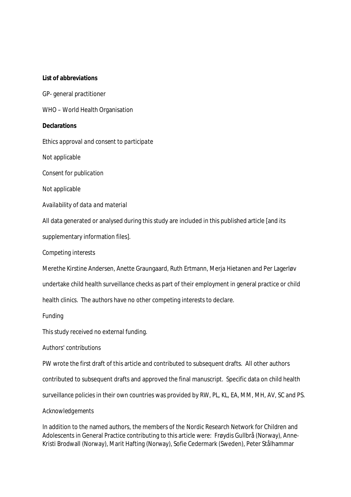**List of abbreviations** GP- general practitioner WHO – World Health Organisation **Declarations** *Ethics approval and consent to participate* Not applicable *Consent for publication* Not applicable *Availability of data and material* All data generated or analysed during this study are included in this published article [and its supplementary information files].

## *Competing interests*

Merethe Kirstine Andersen, Anette Graungaard, Ruth Ertmann, Merja Hietanen and Per Lagerløv undertake child health surveillance checks as part of their employment in general practice or child health clinics. The authors have no other competing interests to declare.

## *Funding*

This study received no external funding.

## *Authors' contributions*

PW wrote the first draft of this article and contributed to subsequent drafts. All other authors

contributed to subsequent drafts and approved the final manuscript. Specific data on child health

surveillance policies in their own countries was provided by RW, PL, KL, EA, MM, MH, AV, SC and PS.

## *Acknowledgements*

In addition to the named authors, the members of the Nordic Research Network for Children and Adolescents in General Practice contributing to this article were: Frøydis Gullbrå (Norway), Anne-Kristi Brodwall (Norway), Marit Hafting (Norway), Sofie Cedermark (Sweden), Peter Stålhammar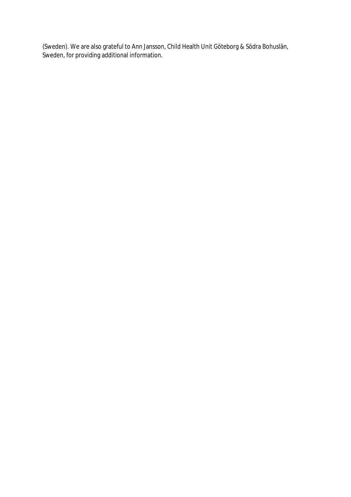(Sweden). We are also grateful to Ann Jansson, Child Health Unit Göteborg & Södra Bohuslän, Sweden, for providing additional information.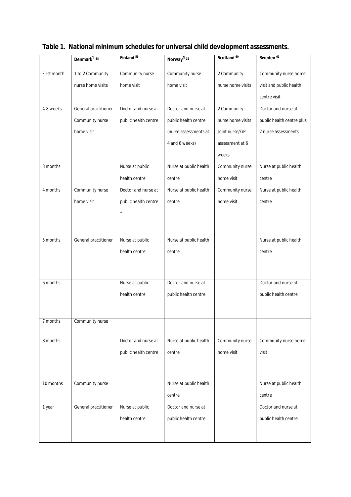|             | Denmark $\overline{\P_{58}}$ | Finland <sup>59</sup> | Norway <sup>131</sup>  | Scotland <sup>60</sup> | Sweden <sup>61</sup>      |
|-------------|------------------------------|-----------------------|------------------------|------------------------|---------------------------|
| First month | 1 to 2 Community             | Community nurse       | Community nurse        | 2 Community            | Community nurse home      |
|             | nurse home visits            | home visit            | home visit             | nurse home visits      | visit and public health   |
|             |                              |                       |                        |                        | centre visit              |
| 4-8 weeks   | General practitioner         | Doctor and nurse at   | Doctor and nurse at    | 2 Community            | Doctor and nurse at       |
|             | Community nurse              | public health centre  | public health centre   | nurse home visits      | public health centre plus |
|             | home visit                   |                       | (nurse assessments at  | Joint nurse/GP         | 2 nurse assessments       |
|             |                              |                       | 4 and 6 weeks)         | assessment at 6        |                           |
|             |                              |                       |                        | weeks                  |                           |
| 3 months    |                              | Nurse at public       | Nurse at public health | Community nurse        | Nurse at public health    |
|             |                              | health centre         | centre                 | home visit             | centre                    |
| 4 months    | Community nurse              | Doctor and nurse at   | Nurse at public health | Community nurse        | Nurse at public health    |
|             | home visit                   | public health centre  | centre                 | home visit             | centre                    |
|             |                              | $\star$               |                        |                        |                           |
|             |                              |                       |                        |                        |                           |
| 5 months    | General practitioner         | Nurse at public       | Nurse at public health |                        | Nurse at public health    |
|             |                              | health centre         | centre                 |                        | centre                    |
|             |                              |                       |                        |                        |                           |
|             |                              |                       |                        |                        |                           |
| 6 months    |                              | Nurse at public       | Doctor and nurse at    |                        | Doctor and nurse at       |
|             |                              | health centre         | public health centre   |                        | public health centre      |
|             |                              |                       |                        |                        |                           |
| 7 months    | Community nurse              |                       |                        |                        |                           |
|             |                              |                       |                        |                        |                           |
| 8 months    |                              | Doctor and nurse at   | Nurse at public health | Community nurse        | Community nurse home      |
|             |                              | public health centre  | centre                 | home visit             | visit                     |
|             |                              |                       |                        |                        |                           |
|             |                              |                       |                        |                        |                           |
| 10 months   | Community nurse              |                       | Nurse at public health |                        | Nurse at public health    |
|             |                              |                       | centre                 |                        | centre                    |
| 1 year      | General practitioner         | Nurse at public       | Doctor and nurse at    |                        | Doctor and nurse at       |
|             |                              | health centre         | public health centre   |                        | public health centre      |
|             |                              |                       |                        |                        |                           |
|             |                              |                       |                        |                        |                           |

# **Table 1. National minimum schedules for universal child development assessments.**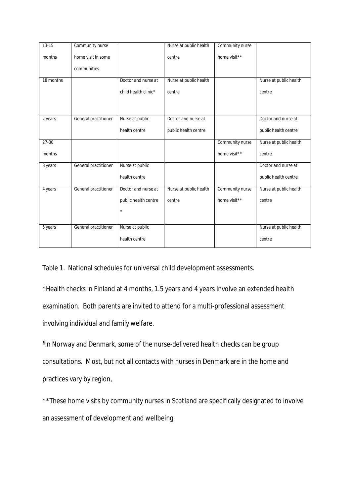| $13 - 15$ | Community nurse      |                      | Nurse at public health | Community nurse |                        |
|-----------|----------------------|----------------------|------------------------|-----------------|------------------------|
| months    | home visit in some   |                      | centre                 | home visit**    |                        |
|           | communities          |                      |                        |                 |                        |
| 18 months |                      | Doctor and nurse at  | Nurse at public health |                 | Nurse at public health |
|           |                      | child health clinic* | centre                 |                 | centre                 |
|           |                      |                      |                        |                 |                        |
| 2 years   | General practitioner | Nurse at public      | Doctor and nurse at    |                 | Doctor and nurse at    |
|           |                      | health centre        | public health centre   |                 | public health centre   |
| $27 - 30$ |                      |                      |                        | Community nurse | Nurse at public health |
| months    |                      |                      |                        | home visit**    | centre                 |
| 3 years   | General practitioner | Nurse at public      |                        |                 | Doctor and nurse at    |
|           |                      | health centre        |                        |                 | public health centre   |
| 4 years   | General practitioner | Doctor and nurse at  | Nurse at public health | Community nurse | Nurse at public health |
|           |                      | public health centre | centre                 | home visit**    | centre                 |
|           |                      | $\star$              |                        |                 |                        |
|           |                      |                      |                        |                 |                        |
| 5 years   | General practitioner | Nurse at public      |                        |                 | Nurse at public health |
|           |                      | health centre        |                        |                 | centre                 |

Table 1. National schedules for universal child development assessments.

\*Health checks in Finland at 4 months, 1.5 years and 4 years involve an extended health examination. Both parents are invited to attend for a multi-professional assessment involving individual and family welfare.

¶ In Norway and Denmark, some of the nurse-delivered health checks can be group consultations. Most, but not all contacts with nurses in Denmark are in the home and practices vary by region,

\*\*These home visits by community nurses in Scotland are specifically designated to involve an assessment of development and wellbeing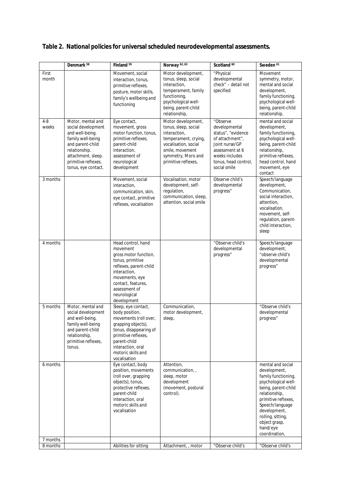|                      | Denmark <sup>58</sup>                                                                                                                                                                    | Finland <sup>59</sup>                                                                                                                                                                                            | Norway <sup>62,63</sup>                                                                                                                                                    | Scotland <sup>60</sup>                                                                                                                                            | Sweden <sup>61</sup>                                                                                                                                                                                                                                 |
|----------------------|------------------------------------------------------------------------------------------------------------------------------------------------------------------------------------------|------------------------------------------------------------------------------------------------------------------------------------------------------------------------------------------------------------------|----------------------------------------------------------------------------------------------------------------------------------------------------------------------------|-------------------------------------------------------------------------------------------------------------------------------------------------------------------|------------------------------------------------------------------------------------------------------------------------------------------------------------------------------------------------------------------------------------------------------|
| First<br>month       |                                                                                                                                                                                          | Movement, social<br>interaction, tonus,<br>primitive reflexes,<br>posture, motor skills,<br>family's wellbeing and<br>functioning                                                                                | Motor development,<br>tonus, sleep, social<br>interaction,<br>temperament, family<br>functioning,<br>psychological well-<br>being, parent-child<br>relationship,           | "Physical<br>developmental<br>check" - detail not<br>specified                                                                                                    | Movement<br>symmetry, motor,<br>mental and social<br>development,<br>family functioning,<br>psychological well-<br>being, parent-child<br>relationship,                                                                                              |
| $4 - 8$<br>weeks     | Motor, mental and<br>social development<br>and well-being.<br>family well-being<br>and parent-child<br>relationship.<br>attachment, sleep.<br>primitive reflexes,<br>tonus, eye contact. | Eye contact,<br>movement, gross<br>motor function, tonus,<br>primitive reflexes,<br>parent-child<br>interaction,<br>assessment of<br>neurological<br>development                                                 | Motor development,<br>tonus, sleep, social<br>interaction,<br>temperament, crying,<br>vocalisation, social<br>smile, movement<br>symmetry, Moro and<br>primitive reflexes, | "Observe<br>developmental<br>status", "evidence<br>of attachment",<br>Joint nurse/GP<br>assessment at 6<br>weeks includes<br>tonus, head control,<br>social smile | mental and social<br>development,<br>family functioning,<br>psychological well-<br>being, parent-child<br>relationship,<br>primitive reflexes,<br>head control, hand<br>movement, eye<br>contact                                                     |
| 3 months             |                                                                                                                                                                                          | Movement, social<br>interaction,<br>communication, skin,<br>eye contact, primitive<br>reflexes, vocalisation                                                                                                     | Vocalisation, motor<br>development, self-<br>regulation,<br>communication, sleep,<br>attention, social smile                                                               | Observe child's<br>developmental<br>progress"                                                                                                                     | Speech/language<br>development,<br>Communication.<br>social interaction,<br>attention,<br>vocalisation,<br>movement, self-<br>regulation, parent-<br>child interaction,<br>sleep                                                                     |
| 4 months             |                                                                                                                                                                                          | Head control, hand<br>movement<br>gross motor function,<br>tonus, primitive<br>reflexes, parent-child<br>interaction,<br>movements, eye<br>contact, features,<br>assessment of<br>neurological<br>development    |                                                                                                                                                                            | "Observe child's<br>developmental<br>progress"                                                                                                                    | Speech/language<br>development,<br>"observe child's<br>developmental<br>progress"                                                                                                                                                                    |
| 5 months             | Motor, mental and<br>social development<br>and well-being.<br>family well-being<br>and parent-child<br>relationship,<br>primitive reflexes,<br>tonus.                                    | Sleep, eye contact,<br>body position,<br>movements (roll over,<br>grapping objects),<br>tonus, disappearing of<br>primitive reflexes,<br>parent-child<br>interaction, oral<br>motoric skills and<br>vocalisation | Communication,<br>motor development,<br>sleep,                                                                                                                             |                                                                                                                                                                   | "Observe child's<br>developmental<br>progress"                                                                                                                                                                                                       |
| 6 months<br>7 months |                                                                                                                                                                                          | Eye contact, body<br>position, movements<br>(roll over, grapping<br>objects), tonus,<br>protective reflexes,<br>parent-child<br>interaction, oral<br>motoric skills and<br>vocalisation                          | Attention,<br>communication,<br>sleep, motor<br>development<br>(movement, postural<br>control).                                                                            |                                                                                                                                                                   | mental and social<br>development,<br>family functioning,<br>psychological well-<br>being, parent-child<br>relationship,<br>primitive reflexes,<br>Speech/language<br>development,<br>rolling, sitting,<br>object grasp,<br>hand/eye<br>coordination, |
| 8 months             |                                                                                                                                                                                          | Abilities for sitting                                                                                                                                                                                            | Attachment, , motor                                                                                                                                                        | "Observe child's                                                                                                                                                  | "Observe child's                                                                                                                                                                                                                                     |

## **Table 2. National policies for universal scheduled neurodevelopmental assessments.**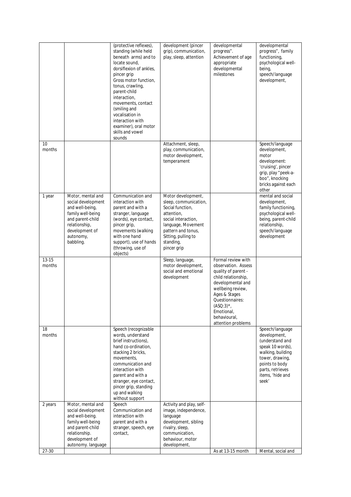|                      |                                                                                                                                                                  | (protective reflexes),<br>standing (while held<br>beneath arms) and to<br>locate sound,<br>dorsiflexion of ankles,<br>pincer grip<br>Gross motor function,<br>tonus, crawling,<br>parent-child<br>interaction,<br>movements, contact<br>(smiling and<br>vocalisation in<br>interaction with<br>examiner), oral motor<br>skills and vowel<br>sounds | development (pincer<br>grip), communication,<br>play, sleep, attention                                                                                                                              | developmental<br>progress".<br>Achievement of age<br>appropriate<br>developmental<br>milestones                                                                                                                                                     | developmental<br>progress", family<br>functioning,<br>psychological well-<br>being,<br>speech/language<br>development,                                                            |
|----------------------|------------------------------------------------------------------------------------------------------------------------------------------------------------------|----------------------------------------------------------------------------------------------------------------------------------------------------------------------------------------------------------------------------------------------------------------------------------------------------------------------------------------------------|-----------------------------------------------------------------------------------------------------------------------------------------------------------------------------------------------------|-----------------------------------------------------------------------------------------------------------------------------------------------------------------------------------------------------------------------------------------------------|-----------------------------------------------------------------------------------------------------------------------------------------------------------------------------------|
| 10<br>months         |                                                                                                                                                                  |                                                                                                                                                                                                                                                                                                                                                    | Attachment, sleep,<br>play, communication,<br>motor development,<br>temperament                                                                                                                     |                                                                                                                                                                                                                                                     | Speech/language<br>development,<br>motor<br>development:<br>'cruising', pincer<br>grip, play "peek-a-<br>boo", knocking<br>bricks against each<br>other                           |
| 1 year               | Motor, mental and<br>social development<br>and well-being,<br>family well-being<br>and parent-child<br>relationship,<br>development of<br>autonomy,<br>babbling. | Communication and<br>interaction with<br>parent and with a<br>stranger, language<br>(words), eye contact,<br>pincer grip,<br>movements (walking<br>with one hand<br>support), use of hands<br>(throwing, use of<br>objects)                                                                                                                        | Motor development,<br>sleep, communication,<br>Social function,<br>attention,<br>social interaction,<br>language, Movement<br>pattern and tonus,<br>Sitting, pulling to<br>standing,<br>pincer grip |                                                                                                                                                                                                                                                     | mental and social<br>development,<br>family functioning,<br>psychological well-<br>being, parent-child<br>relationship,<br>speech/language<br>development                         |
| $13 - 15$<br>months  |                                                                                                                                                                  |                                                                                                                                                                                                                                                                                                                                                    | Sleep, language,<br>motor development,<br>social and emotional<br>development                                                                                                                       | Formal review with<br>observation. Assess<br>quality of parent -<br>child relationship,<br>developmental and<br>wellbeing review,<br>Ages & Stages<br>Questionnaires:<br>$(ASQ:3)$ <sup>*</sup><br>Emotional,<br>behavioural,<br>attention problems |                                                                                                                                                                                   |
| 18<br>months         |                                                                                                                                                                  | Speech (recognizable<br>words, understand<br>brief instructions),<br>hand co-ordination,<br>stacking 2 bricks,<br>movements,<br>communication and<br>interaction with<br>parent and with a<br>stranger, eye contact,<br>pincer grip, standing<br>up and walking<br>without support                                                                 |                                                                                                                                                                                                     |                                                                                                                                                                                                                                                     | Speech/language<br>development,<br>(understand and<br>speak 10 words),<br>walking, building<br>tower, drawing,<br>points to body<br>parts, retrieves<br>items, 'hide and<br>seek' |
| 2 years<br>$27 - 30$ | Motor, mental and<br>social development<br>and well-being.<br>family well-being<br>and parent-child<br>relationship.<br>development of<br>autonomy. language     | Speech<br>Communication and<br>interaction with<br>parent and with a<br>stranger, speech, eye<br>contact,                                                                                                                                                                                                                                          | Activity and play, self-<br>image, independence,<br>language<br>development, sibling<br>rivalry, sleep,<br>communication,<br>behaviour, motor<br>development,                                       | As at 13-15 month                                                                                                                                                                                                                                   | Mental, social and                                                                                                                                                                |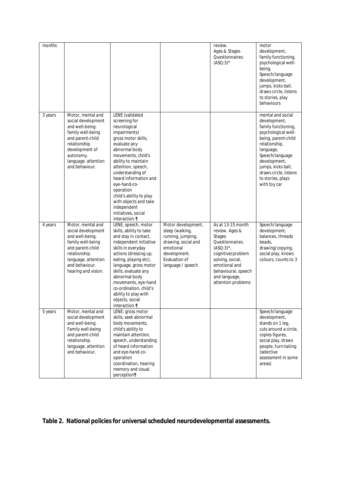| months  |                                                                                                                                                                                              |                                                                                                                                                                                                                                                                                                                                                                                 |                                                                                                                                                      | review.<br>Ages & Stages<br>Questionnaires:<br>$(ASQ:3)*$                                                                                                                                                 | motor<br>development,<br>family functioning,<br>psychological well-<br>being,<br>Speech/language<br>development,<br>jumps, kicks ball,<br>draws circle, listens<br>to stories, play<br>behaviours                                                           |
|---------|----------------------------------------------------------------------------------------------------------------------------------------------------------------------------------------------|---------------------------------------------------------------------------------------------------------------------------------------------------------------------------------------------------------------------------------------------------------------------------------------------------------------------------------------------------------------------------------|------------------------------------------------------------------------------------------------------------------------------------------------------|-----------------------------------------------------------------------------------------------------------------------------------------------------------------------------------------------------------|-------------------------------------------------------------------------------------------------------------------------------------------------------------------------------------------------------------------------------------------------------------|
| 3 years | Motor, mental and<br>social development<br>and well-being.<br>family well-being<br>and parent-child<br>relationship.<br>development of<br>autonomy.<br>language. attention<br>and behaviour. | LENE (validated<br>screening for<br>neurological<br>impairments)<br>gross motor skills,<br>evaluate any<br>abnormal body<br>movements, child's<br>ability to maintain<br>attention, speech,<br>understanding of<br>heard information and<br>eye-hand-co-<br>operation<br>child's ability to play<br>with objects and take<br>independent<br>initiatives, social<br>interaction. |                                                                                                                                                      |                                                                                                                                                                                                           | mental and social<br>development,<br>family functioning,<br>psychological well-<br>being, parent-child<br>relationship,<br>language,<br>Speech/language<br>development,<br>jumps, kicks ball,<br>draws circle, listens<br>to stories, plays<br>with toy car |
| 4 years | Motor, mental and<br>social development<br>and well-being.<br>family well-being<br>and parent-child<br>relationship.<br>language, attention<br>and behaviour.<br>hearing and vision.         | LENE, speech, motor<br>skills, ability to take<br>and stay in contact,<br>independent initiative<br>skills in everyday<br>actions (dressing up,<br>eating, playing etc),<br>language, gross motor<br>skills, evaluate any<br>abnormal body<br>movements, eye-hand<br>co-ordination, child's<br>ability to play with<br>objects, social<br>interaction.                          | Motor development,<br>sleep (walking,<br>running, jumping,<br>drawing, social and<br>emotional<br>development.<br>Evaluation of<br>language / speech | As at 13-15 month<br>review. Ages &<br>Stages<br>Questionnaires:<br>$(ASQ:3)^*$ ,<br>cognitive/problem<br>solving, social,<br>emotional and<br>behavioural, speech<br>and language,<br>attention problems | Speech/language<br>development,<br>balances, threads<br>beads,<br>drawing/copying,<br>social play, knows<br>colours, counts to 3                                                                                                                            |
| 5 years | Motor, mental and<br>social development<br>and well-being.<br>Family well-being<br>and parent-child<br>relationship.<br>language, attention<br>and behaviour.                                | LENE: gross motor<br>skills, seek abnormal<br>body movements,<br>child's ability to<br>maintain attention,<br>speech, understanding<br>of heard information<br>and eye-hand-co-<br>operation<br>coordination, hearing<br>memory and visual<br>perception¶                                                                                                                       |                                                                                                                                                      |                                                                                                                                                                                                           | Speech/language<br>development,<br>stands on 1 leg,<br>cuts around a circle,<br>copies figures,<br>social play, draws<br>people, turn-taking<br>(selective<br>assessment in some<br>areas)                                                                  |

**Table 2. National policies for universal scheduled neurodevelopmental assessments.**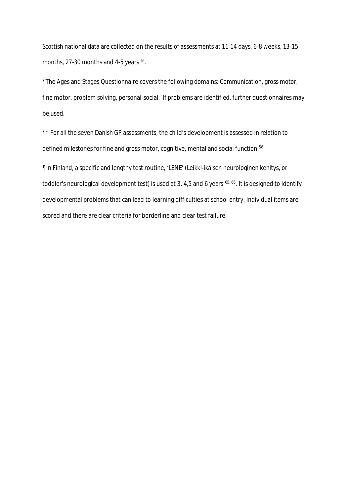Scottish national data are collected on the results of assessments at 11-14 days, 6-8 weeks, 13-15 months, 27-30 months and 4-5 years  $^{64}$ .

\*The Ages and Stages Questionnaire covers the following domains: Communication, gross motor, fine motor, problem solving, personal-social. If problems are identified, further questionnaires may be used.

\*\* For all the seven Danish GP assessments, the child's development is assessed in relation to defined milestones for fine and gross motor, cognitive, mental and social function <sup>58</sup>

¶In Finland, a specific and lengthy test routine, 'LENE' (Leikki-ikäisen neurologinen kehitys, or toddler's neurological development test) is used at 3, 4,5 and 6 years  $65, 66$ . It is designed to identify developmental problems that can lead to learning difficulties at school entry. Individual items are scored and there are clear criteria for borderline and clear test failure.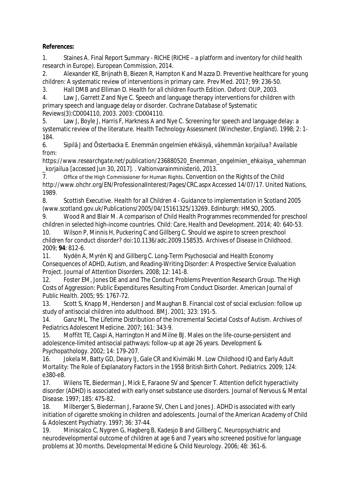**References:**

1. Staines A. Final Report Summary - RICHE (RICHE – a platform and inventory for child health research in Europe). European Commission, 2014.

2. Alexander KE, Brijnath B, Biezen R, Hampton K and Mazza D. Preventive healthcare for young children: A systematic review of interventions in primary care. *Prev Med*. 2017; 99: 236-50.

3. Hall DMB and Elliman D. *Health for all children Fourth Edition*. Oxford: OUP, 2003.

4. Law J, Garrett Z and Nye C. Speech and language therapy interventions for children with primary speech and language delay or disorder. *Cochrane Database of Systematic Reviews(3):CD004110, 2003*. 2003: CD004110.

5. Law J, Boyle J, Harris F, Harkness A and Nye C. Screening for speech and language delay: a systematic review of the literature. *Health Technology Assessment (Winchester, England)*. 1998; 2: 1- 184.

6. Sipilä J and Österbacka E. *Enemmän ongelmien ehkäisyä, vähemmän korjailua? Available from:*

*https://www.researchgate.net/publication/236880520\_Enemman\_ongelmien\_ehkaisya\_vahemman \_korjailua [accessed Jun 30, 2017].* . Valtionvarainministeriö, 2013.

7. Office of the High Commissioner for Human Rights. Convention on the Rights of the Child http://www.ohchr.org/EN/ProfessionalInterest/Pages/CRC.aspx Accessed 14/07/17. United Nations, 1989.

8. Scottish Executive. *Health for all Children 4 - Guidance to implementation in Scotland 2005 (www.scotland.gov.uk/Publications/2005/04/15161325/13269*. Edinburgh: HMSO, 2005.

9. Wood R and Blair M. A comparison of Child Health Programmes recommended for preschool children in selected high-income countries. *Child: Care, Health and Development*. 2014; 40: 640-53.

10. Wilson P, Minnis H, Puckering C and Gillberg C. Should we aspire to screen preschool children for conduct disorder? doi:10.1136/adc.2009.158535. *Archives of Disease in Childhood*. 2009; **94**: 812-6.

11. Nydén A, Myrén KJ and Gillberg C. Long-Term Psychosocial and Health Economy Consequences of ADHD, Autism, and Reading-Writing Disorder: A Prospective Service Evaluation Project. *Journal of Attention Disorders*. 2008; 12: 141-8.

12. Foster EM, Jones DE and and The Conduct Problems Prevention Research Group. The High Costs of Aggression: Public Expenditures Resulting From Conduct Disorder. *American Journal of Public Health*. 2005; 95: 1767-72.

13. Scott S, Knapp M, Henderson J and Maughan B. Financial cost of social exclusion: follow up study of antisocial children into adulthood. *BMJ*. 2001; 323: 191-5.

14. Ganz ML. The Lifetime Distribution of the Incremental Societal Costs of Autism. *Archives of Pediatrics Adolescent Medicine*. 2007; 161: 343-9.

15. Moffitt TE, Caspi A, Harrington H and Milne BJ. Males on the life-course-persistent and adolescence-limited antisocial pathways: follow-up at age 26 years. *Development & Psychopathology*. 2002; 14: 179-207.

16. Jokela M, Batty GD, Deary IJ, Gale CR and Kivimäki M. Low Childhood IQ and Early Adult Mortality: The Role of Explanatory Factors in the 1958 British Birth Cohort. *Pediatrics*. 2009; 124: e380-e8.

17. Wilens TE, Biederman J, Mick E, Faraone SV and Spencer T. Attention deficit hyperactivity disorder (ADHD) is associated with early onset substance use disorders. *Journal of Nervous & Mental Disease*. 1997; 185: 475-82.

18. Milberger S, Biederman J, Faraone SV, Chen L and Jones J. ADHD is associated with early initiation of cigarette smoking in children and adolescents. *Journal of the American Academy of Child & Adolescent Psychiatry*. 1997; 36: 37-44.

19. Miniscalco C, Nygren G, Hagberg B, Kadesjo B and Gillberg C. Neuropsychiatric and neurodevelopmental outcome of children at age 6 and 7 years who screened positive for language problems at 30 months. *Developmental Medicine & Child Neurology*. 2006; 48: 361-6.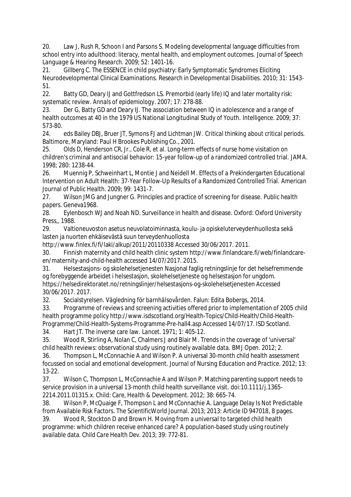20. Law J, Rush R, Schoon I and Parsons S. Modeling developmental language difficulties from school entry into adulthood: literacy, mental health, and employment outcomes. *Journal of Speech Language & Hearing Research*. 2009; 52: 1401-16.

21. Gillberg C. The ESSENCE in child psychiatry: Early Symptomatic Syndromes Eliciting Neurodevelopmental Clinical Examinations. *Research in Developmental Disabilities*. 2010; 31: 1543- 51.

22. Batty GD, Deary IJ and Gottfredson LS. Premorbid (early life) IQ and later mortality risk: systematic review. *Annals of epidemiology*. 2007; 17: 278-88.

23. Der G, Batty GD and Deary IJ. The association between IQ in adolescence and a range of health outcomes at 40 in the 1979 US National Longitudinal Study of Youth. *Intelligence*. 2009; 37: 573-80.

24. eds Bailey DBJ, Bruer JT, Symons FJ and Lichtman JW. *Critical thinking about critical periods.* Baltimore, Maryland: Paul H Brookes Publishing Co., 2001.

25. Olds D, Henderson CR, Jr., Cole R, et al. Long-term effects of nurse home visitation on children's criminal and antisocial behavior: 15-year follow-up of a randomized controlled trial. *JAMA*. 1998; 280: 1238-44.

26. Muennig P, Schweinhart L, Montie J and Neidell M. Effects of a Prekindergarten Educational Intervention on Adult Health: 37-Year Follow-Up Results of a Randomized Controlled Trial. *American Journal of Public Health*. 2009; 99: 1431-7.

27. Wilson JMG and Jungner G. Principles and practice of screening for disease. *Public health papers*. Geneva1968.

28. Eylenbosch WJ and Noah ND. Surveillance in health and disease. Oxford: Oxford University Press,, 1988.

29. Valtioneuvoston asetus neuvolatoiminnasta, koulu- ja opiskeluterveydenhuollosta sekä lasten ja nuorten ehkäisevästä suun terveydenhuollosta

http://www.finlex.fi/fi/laki/alkup/2011/20110338 Accessed 30/06/2017. 2011.

30. Finnish maternity and child health clinic system http://www.finlandcare.fi/web/finlandcareen/maternity-and-child-health accessed 14/07/2017. 2015.

31. Helsestasjons- og skolehelsetjenesten Nasjonal faglig retningslinje for det helsefremmende og forebyggende arbeidet i helsestasjon, skolehelsetjeneste og helsestasjon for ungdom. https://helsedirektoratet.no/retningslinjer/helsestasjons-og-skolehelsetjenesten Accessed 30/06/2017. 2017.

32. Socialstyrelsen. *Vägledning för barnhälsovården*. Falun: Edita Bobergs, 2014.

33. Programme of reviews and screening activities offered prior to implementation of 2005 child health programme policy http://www.isdscotland.org/Health-Topics/Child-Health/Child-Health-Programme/Child-Health-Systems-Programme-Pre-hall4.asp Accessed 14/07/17. ISD Scotland.

34. Hart JT. The inverse care law. *Lancet*. 1971; 1: 405-12.

35. Wood R, Stirling A, Nolan C, Chalmers J and Blair M. Trends in the coverage of 'universal' child health reviews: observational study using routinely available data. *BMJ Open*. 2012; 2.

36. Thompson L, McConnachie A and Wilson P. A universal 30-month child health assessment focussed on social and emotional development. *Journal of Nursing Education and Practice*. 2012; 13: 13-22.

37. Wilson C, Thompson L, McConnachie A and Wilson P. Matching parenting support needs to service provision in a universal 13-month child health surveillance visit. doi:10.1111/j.1365- 2214.2011.01315.x. *Child: Care, Health & Development*. 2012; 38: 665-74.

38. Wilson P, McQuaige F, Thompson L and McConnachie A. Language Delay Is Not Predictable from Available Risk Factors. *The ScientificWorld Journal*. 2013; 2013: Article ID 947018, 8 pages.

39. Wood R, Stockton D and Brown H. Moving from a universal to targeted child health programme: which children receive enhanced care? A population-based study using routinely available data. *Child Care Health Dev*. 2013; 39: 772-81.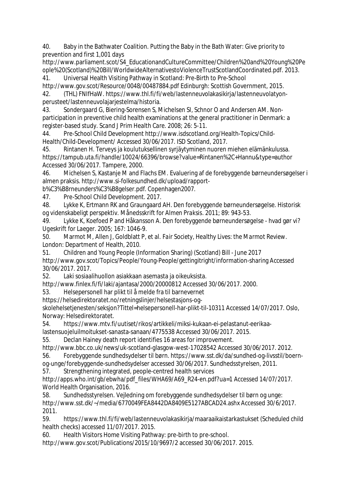40. Baby in the Bathwater Coalition. Putting the Baby in the Bath Water: Give priority to prevention and first 1,001 days

http://www.parliament.scot/S4\_EducationandCultureCommittee/Children%20and%20Young%20Pe ople%20(Scotland)%20Bill/WorldwideAlternativestoViolenceTrustScotlandCoordinated.pdf. 2013.

41. Universal Health Visiting Pathway in Scotland: Pre-Birth to Pre-School http://www.gov.scot/Resource/0048/00487884.pdf Edinburgh: Scottish Government, 2015.

42. (THL) FNIfHaW. https://www.thl.fi/fi/web/lastenneuvolakasikirja/lastenneuvolatyonperusteet/lastenneuvolajarjestelma/historia.

43. Sondergaard G, Biering-Sorensen S, Michelsen SI, Schnor O and Andersen AM. Nonparticipation in preventive child health examinations at the general practitioner in Denmark: a register-based study. *Scand J Prim Health Care*. 2008; 26: 5-11.

44. Pre-School Child Development http://www.isdscotland.org/Health-Topics/Child-Health/Child-Development/ Accessed 30/06/2017. ISD Scotland, 2017.

45. Rintanen H. Terveys ja koulutuksellinen syrjäytyminen nuoren miehen elämänkulussa. https://tampub.uta.fi/handle/10024/66396/browse?value=Rintanen%2C+Hannu&type=author Accessed 30/06/2017. Tampere, 2000.

46. Michelsen S, Kastanje M and Flachs EM. Evaluering af de forebyggende børneundersøgelser i almen praksis. http://www.si-folkesundhed.dk/upload/rapport-

b%C3%B8rneunders%C3%B8gelser.pdf. Copenhagen2007.

47. Pre-School Child Development. 2017.

48. Lykke K, Ertmann RK and Graungaard AH. Den forebyggende børneundersøgelse. Historisk og videnskabeligt perspektiv. *Månedsskrift for Almen Praksis*. 2011; 89: 943-53.

49. Lykke K, Koefoed P and Håkansson A. Den forebyggende børneundersøgelse - hvad gør vi? *Ugeskrift for Laeger*. 2005; 167: 1046-9.

50. Marmot M, Allen J, Goldblatt P, et al. *Fair Society, Healthy Lives: the Marmot Review*. London: Department of Health, 2010.

51. Children and Young People (Information Sharing) (Scotland) Bill - June 2017 http://www.gov.scot/Topics/People/Young-People/gettingitright/information-sharing Accessed 30/06/2017. 2017.

52. Laki sosiaalihuollon asiakkaan asemasta ja oikeuksista.

http://www.finlex.fi/fi/laki/ajantasa/2000/20000812 Accessed 30/06/2017. 2000.

53. Helsepersonell har plikt til å melde fra til barnevernet

https://helsedirektoratet.no/retningslinjer/helsestasjons-og-

skolehelsetjenesten/seksjon?Tittel=helsepersonell-har-plikt-til-10311 Accessed 14/07/2017. Oslo, Norway: Helsedirektoratet.

54. https://www.mtv.fi/uutiset/rikos/artikkeli/miksi-kukaan-ei-pelastanut-eerikaa-

lastensuojeluilmoitukset-sanasta-sanaan/4775538 Accessed 30/06/2017. 2015.

55. Declan Hainey death report identifies 16 areas for improvement.

http://www.bbc.co.uk/news/uk-scotland-glasgow-west-17028542 Accessed 30/06/2017. 2012.

56. Forebyggende sundhedsydelser til børn. https://www.sst.dk/da/sundhed-og-livsstil/boern-

og-unge/forebyggende-sundhedsydelser accessed 30/06/2017. Sundhedsstyrelsen, 2011.

57. Strengthening integrated, people-centred health services

http://apps.who.int/gb/ebwha/pdf\_files/WHA69/A69\_R24-en.pdf?ua=1 Accessed 14/07/2017. World Health Organisation, 2016.

58. Sundhedsstyrelsen. Vejledning om forebyggende sundhedsydelser til børn og unge: http://www.sst.dk/~/media/6770049FEA8442DA8409E5127ABCAD24.ashx Accessed 30/6/2017. 2011.

59. https://www.thl.fi/fi/web/lastenneuvolakasikirja/maaraaikaistarkastukset (Scheduled child health checks) accessed 11/07/2017. 2015.

60. Health Visitors Home Visiting Pathway: pre-birth to pre-school.

http://www.gov.scot/Publications/2015/10/9697/2 accessed 30/06/2017. 2015.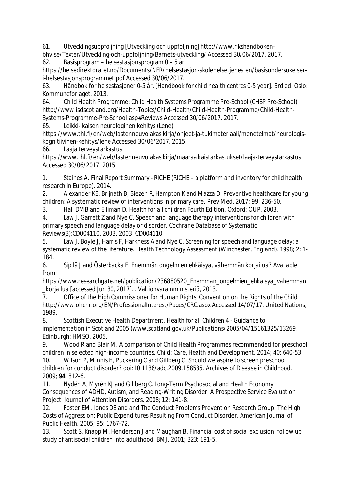61. Utvecklingsuppföljning [Utveckling och uppföljning] http://www.rikshandboken-

bhv.se/Texter/Utveckling-och-uppfoljning/Barnets-utveckling/ Accessed 30/06/2017. 2017. 62. Basisprogram – helsestasjonsprogram 0 – 5 år

https://helsedirektoratet.no/Documents/NFR/helsestasjon-skolehelsetjenesten/basisundersokelseri-helsestasjonsprogrammet.pdf Accessed 30/06/2017.

63. *Håndbok for helsestasjoner 0-5 år. [Handbook for child health centres 0-5 year].* 3rd ed. Oslo: Kommuneforlaget, 2013.

64. Child Health Programme: Child Health Systems Programme Pre-School (CHSP Pre-School) http://www.isdscotland.org/Health-Topics/Child-Health/Child-Health-Programme/Child-Health-Systems-Programme-Pre-School.asp#Reviews Accessed 30/06/2017. 2017.

65. Leikki-ikäisen neurologinen kehitys (Lene)

https://www.thl.fi/en/web/lastenneuvolakasikirja/ohjeet-ja-tukimateriaali/menetelmat/neurologiskognitiivinen-kehitys/lene Accessed 30/06/2017. 2015.

66. Laaja terveystarkastus

https://www.thl.fi/en/web/lastenneuvolakasikirja/maaraaikaistarkastukset/laaja-terveystarkastus Accessed 30/06/2017. 2015.

1. Staines A. Final Report Summary - RICHE (RICHE – a platform and inventory for child health research in Europe). 2014.

2. Alexander KE, Brijnath B, Biezen R, Hampton K and Mazza D. Preventive healthcare for young children: A systematic review of interventions in primary care. *Prev Med*. 2017; 99: 236-50.

3. Hall DMB and Elliman D. *Health for all children Fourth Edition*. Oxford: OUP, 2003.

4. Law J, Garrett Z and Nye C. Speech and language therapy interventions for children with primary speech and language delay or disorder. *Cochrane Database of Systematic Reviews(3):CD004110, 2003*. 2003: CD004110.

5. Law J, Boyle J, Harris F, Harkness A and Nye C. Screening for speech and language delay: a systematic review of the literature. *Health Technology Assessment (Winchester, England)*. 1998; 2: 1- 184.

6. Sipilä J and Österbacka E. *Enemmän ongelmien ehkäisyä, vähemmän korjailua? Available from:*

*https://www.researchgate.net/publication/236880520\_Enemman\_ongelmien\_ehkaisya\_vahemman \_korjailua [accessed Jun 30, 2017].* . Valtionvarainministeriö, 2013.

7. Office of the High Commissioner for Human Rights. Convention on the Rights of the Child http://www.ohchr.org/EN/ProfessionalInterest/Pages/CRC.aspx Accessed 14/07/17. United Nations, 1989.

8. Scottish Executive Health Department. *Health for all Children 4 - Guidance to implementation in Scotland 2005 (www.scotland.gov.uk/Publications/2005/04/15161325/13269*. Edinburgh: HMSO, 2005.

9. Wood R and Blair M. A comparison of Child Health Programmes recommended for preschool children in selected high-income countries. *Child: Care, Health and Development*. 2014; 40: 640-53.

10. Wilson P, Minnis H, Puckering C and Gillberg C. Should we aspire to screen preschool children for conduct disorder? doi:10.1136/adc.2009.158535. *Archives of Disease in Childhood*. 2009; **94**: 812-6.

11. Nydén A, Myrén KJ and Gillberg C. Long-Term Psychosocial and Health Economy Consequences of ADHD, Autism, and Reading-Writing Disorder: A Prospective Service Evaluation Project. *Journal of Attention Disorders*. 2008; 12: 141-8.

12. Foster EM, Jones DE and and The Conduct Problems Prevention Research Group. The High Costs of Aggression: Public Expenditures Resulting From Conduct Disorder. *American Journal of Public Health*. 2005; 95: 1767-72.

13. Scott S, Knapp M, Henderson J and Maughan B. Financial cost of social exclusion: follow up study of antisocial children into adulthood. *BMJ*. 2001; 323: 191-5.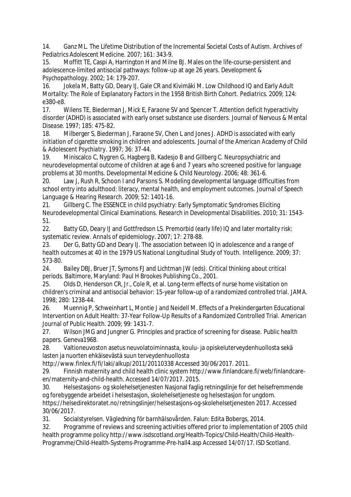14. Ganz ML. The Lifetime Distribution of the Incremental Societal Costs of Autism. *Archives of Pediatrics Adolescent Medicine*. 2007; 161: 343-9.

15. Moffitt TE, Caspi A, Harrington H and Milne BJ. Males on the life-course-persistent and adolescence-limited antisocial pathways: follow-up at age 26 years. *Development & Psychopathology*. 2002; 14: 179-207.

16. Jokela M, Batty GD, Deary IJ, Gale CR and Kivimäki M. Low Childhood IQ and Early Adult Mortality: The Role of Explanatory Factors in the 1958 British Birth Cohort. *Pediatrics*. 2009; 124: e380-e8.

17. Wilens TE, Biederman J, Mick E, Faraone SV and Spencer T. Attention deficit hyperactivity disorder (ADHD) is associated with early onset substance use disorders. *Journal of Nervous & Mental Disease*. 1997; 185: 475-82.

18. Milberger S, Biederman J, Faraone SV, Chen L and Jones J. ADHD is associated with early initiation of cigarette smoking in children and adolescents. *Journal of the American Academy of Child & Adolescent Psychiatry*. 1997; 36: 37-44.

19. Miniscalco C, Nygren G, Hagberg B, Kadesjo B and Gillberg C. Neuropsychiatric and neurodevelopmental outcome of children at age 6 and 7 years who screened positive for language problems at 30 months. *Developmental Medicine & Child Neurology*. 2006; 48: 361-6.

20. Law J, Rush R, Schoon I and Parsons S. Modeling developmental language difficulties from school entry into adulthood: literacy, mental health, and employment outcomes. *Journal of Speech Language & Hearing Research*. 2009; 52: 1401-16.

21. Gillberg C. The ESSENCE in child psychiatry: Early Symptomatic Syndromes Eliciting Neurodevelopmental Clinical Examinations. *Research in Developmental Disabilities*. 2010; 31: 1543- 51.

22. Batty GD, Deary IJ and Gottfredson LS. Premorbid (early life) IQ and later mortality risk: systematic review. *Annals of epidemiology*. 2007; 17: 278-88.

23. Der G, Batty GD and Deary IJ. The association between IQ in adolescence and a range of health outcomes at 40 in the 1979 US National Longitudinal Study of Youth. *Intelligence*. 2009; 37: 573-80.

24. Bailey DBJ, Bruer JT, Symons FJ and Lichtman JW (eds). *Critical thinking about critical periods.* Baltimore, Maryland: Paul H Brookes Publishing Co., 2001.

25. Olds D, Henderson CR, Jr., Cole R, et al. Long-term effects of nurse home visitation on children's criminal and antisocial behavior: 15-year follow-up of a randomized controlled trial. *JAMA*. 1998; 280: 1238-44.

26. Muennig P, Schweinhart L, Montie J and Neidell M. Effects of a Prekindergarten Educational Intervention on Adult Health: 37-Year Follow-Up Results of a Randomized Controlled Trial. *American Journal of Public Health*. 2009; 99: 1431-7.

27. Wilson JMG and Jungner G. Principles and practice of screening for disease. *Public health papers*. Geneva1968.

28. Valtioneuvoston asetus neuvolatoiminnasta, koulu- ja opiskeluterveydenhuollosta sekä lasten ja nuorten ehkäisevästä suun terveydenhuollosta

http://www.finlex.fi/fi/laki/alkup/2011/20110338 Accessed 30/06/2017. 2011.

29. Finnish maternity and child health clinic system http://www.finlandcare.fi/web/finlandcareen/maternity-and-child-health. Accessed 14/07/2017. 2015.

30. Helsestasjons- og skolehelsetjenesten Nasjonal faglig retningslinje for det helsefremmende og forebyggende arbeidet i helsestasjon, skolehelsetjeneste og helsestasjon for ungdom. https://helsedirektoratet.no/retningslinjer/helsestasjons-og-skolehelsetjenesten 2017. Accessed 30/06/2017.

31. Socialstyrelsen. *Vägledning för barnhälsovården*. Falun: Edita Bobergs, 2014.

32. Programme of reviews and screening activities offered prior to implementation of 2005 child health programme policy http://www.isdscotland.org/Health-Topics/Child-Health/Child-Health-Programme/Child-Health-Systems-Programme-Pre-hall4.asp Accessed 14/07/17. ISD Scotland.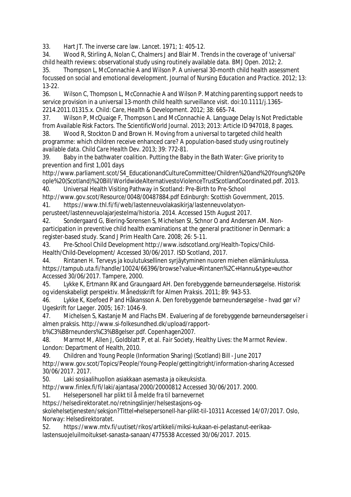33. Hart JT. The inverse care law. *Lancet*. 1971; 1: 405-12.

34. Wood R, Stirling A, Nolan C, Chalmers J and Blair M. Trends in the coverage of 'universal' child health reviews: observational study using routinely available data. *BMJ Open*. 2012; 2.

35. Thompson L, McConnachie A and Wilson P. A universal 30-month child health assessment focussed on social and emotional development. *Journal of Nursing Education and Practice*. 2012; 13: 13-22.

36. Wilson C, Thompson L, McConnachie A and Wilson P. Matching parenting support needs to service provision in a universal 13-month child health surveillance visit. doi:10.1111/j.1365- 2214.2011.01315.x. *Child: Care, Health & Development*. 2012; 38: 665-74.

37. Wilson P, McQuaige F, Thompson L and McConnachie A. Language Delay Is Not Predictable from Available Risk Factors. *The ScientificWorld Journal*. 2013; 2013: Article ID 947018, 8 pages.

38. Wood R, Stockton D and Brown H. Moving from a universal to targeted child health programme: which children receive enhanced care? A population-based study using routinely available data. *Child Care Health Dev*. 2013; 39: 772-81.

39. Baby in the bathwater coalition. Putting the Baby in the Bath Water: Give priority to prevention and first 1,001 days

http://www.parliament.scot/S4\_EducationandCultureCommittee/Children%20and%20Young%20Pe ople%20(Scotland)%20Bill/WorldwideAlternativestoViolenceTrustScotlandCoordinated.pdf. 2013. 40. Universal Health Visiting Pathway in Scotland: Pre-Birth to Pre-School

http://www.gov.scot/Resource/0048/00487884.pdf Edinburgh: Scottish Government, 2015. 41. [https://www.thl.fi/fi/web/lastenneuvolakasikirja/lastenneuvolatyon-](https://www.thl.fi/fi/web/lastenneuvolakasikirja/lastenneuvolatyon-perusteet/lastenneuvolajarjestelma/historia)

[perusteet/lastenneuvolajarjestelma/historia.](https://www.thl.fi/fi/web/lastenneuvolakasikirja/lastenneuvolatyon-perusteet/lastenneuvolajarjestelma/historia) 2014. Accessed 15th August 2017.

42. Sondergaard G, Biering-Sorensen S, Michelsen SI, Schnor O and Andersen AM. Nonparticipation in preventive child health examinations at the general practitioner in Denmark: a register-based study. *Scand J Prim Health Care*. 2008; 26: 5-11.

43. Pre-School Child Development http://www.isdscotland.org/Health-Topics/Child-Health/Child-Development/ Accessed 30/06/2017. ISD Scotland, 2017.

44. Rintanen H. Terveys ja koulutuksellinen syrjäytyminen nuoren miehen elämänkulussa. https://tampub.uta.fi/handle/10024/66396/browse?value=Rintanen%2C+Hannu&type=author Accessed 30/06/2017. Tampere, 2000.

45. Lykke K, Ertmann RK and Graungaard AH. Den forebyggende børneundersøgelse. Historisk og videnskabeligt perspektiv. *Månedsskrift for Almen Praksis*. 2011; 89: 943-53.

46. Lykke K, Koefoed P and Håkansson A. Den forebyggende børneundersøgelse - hvad gør vi? *Ugeskrift for Laeger*. 2005; 167: 1046-9.

47. Michelsen S, Kastanje M and Flachs EM. Evaluering af de forebyggende børneundersøgelser i almen praksis. http://www.si-folkesundhed.dk/upload/rapport-

b%C3%B8rneunders%C3%B8gelser.pdf. Copenhagen2007.

48. Marmot M, Allen J, Goldblatt P, et al. *Fair Society, Healthy Lives: the Marmot Review*. London: Department of Health, 2010.

49. Children and Young People (Information Sharing) (Scotland) Bill - June 2017 http://www.gov.scot/Topics/People/Young-People/gettingitright/information-sharing Accessed 30/06/2017. 2017.

50. Laki sosiaalihuollon asiakkaan asemasta ja oikeuksista.

http://www.finlex.fi/fi/laki/ajantasa/2000/20000812 Accessed 30/06/2017. 2000.

51. Helsepersonell har plikt til å melde fra til barnevernet

https://helsedirektoratet.no/retningslinjer/helsestasjons-og-

skolehelsetjenesten/seksjon?Tittel=helsepersonell-har-plikt-til-10311 Accessed 14/07/2017. Oslo, Norway: Helsedirektoratet.

52. https://www.mtv.fi/uutiset/rikos/artikkeli/miksi-kukaan-ei-pelastanut-eerikaa-

lastensuojeluilmoitukset-sanasta-sanaan/4775538 Accessed 30/06/2017. 2015.